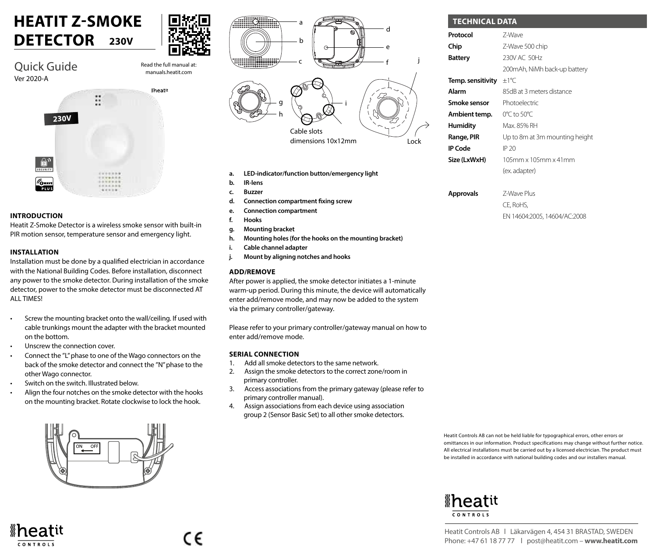### **HEATIT Z-SMOKE DETECTOR 230V**



manuals.heatit.com

Quick Guide Ver 2020-A



### **INTRODUCTION**

Heatit Z-Smoke Detector is a wireless smoke sensor with built-in PIR motion sensor, temperature sensor and emergency light.

### **INSTALLATION**

CONTROLS

Installation must be done by a qualified electrician in accordance with the National Building Codes. Before installation, disconnect any power to the smoke detector. During installation of the smoke detector, power to the smoke detector must be disconnected AT ALL TIMES!

- Screw the mounting bracket onto the wall/ceiling. If used with cable trunkings mount the adapter with the bracket mounted on the bottom.
- Unscrew the connection cover.
- Connect the "L" phase to one of the Wago connectors on the back of the smoke detector and connect the "N" phase to the other Wago connector.
- Switch on the switch. Illustrated below.
- Align the four notches on the smoke detector with the hooks on the mounting bracket. Rotate clockwise to lock the hook.





- **a. LED-indicator/function button/emergency light**
- **b. IR-lens**
- **c. Buzzer**
- **d. Connection compartment fixing screw**
- **e. Connection compartment**
- **f. Hooks**
- **g. Mounting bracket**
- **h. Mounting holes (for the hooks on the mounting bracket)**
- **i. Cable channel adapter**
- **j. Mount by aligning notches and hooks**

### **ADD/REMOVE**

After power is applied, the smoke detector initiates a 1-minute warm-up period. During this minute, the device will automatically enter add/remove mode, and may now be added to the system via the primary controller/gateway.

Please refer to your primary controller/gateway manual on how to enter add/remove mode.

#### **SERIAL CONNECTION**

- 1. Add all smoke detectors to the same network.
- 2. Assign the smoke detectors to the correct zone/room in primary controller.
- 3. Access associations from the primary gateway (please refer to primary controller manual).
- 4. Assign associations from each device using association group 2 (Sensor Basic Set) to all other smoke detectors.

| Protocol          | 7-Wave                         |
|-------------------|--------------------------------|
| Chip              | Z-Wave 500 chip                |
| Battery           | 230V AC 50Hz                   |
|                   | 200mAh, NiMh back-up battery   |
| Temp. sensitivity | ±1℃                            |
| Alarm             | 85dB at 3 meters distance      |
| Smoke sensor      | Photoelectric                  |
| Ambient temp.     | 0°C to 50°C                    |
| Humidity          | Max. 85% RH                    |
| Range, PIR        | Up to 8m at 3m mounting height |
| IP Code           | IP 20                          |
| Size (LxWxH)      | $105$ mm x $105$ mm x $41$ mm  |
|                   | (ex. adapter)                  |
|                   |                                |

**Approvals** Z-Wave Plus CE, RoHS, EN 14604:2005, 14604/AC:2008

Heatit Controls AB can not be held liable for typographical errors, other errors or omittances in our information. Product specifications may change without further notice. All electrical installations must be carried out by a licensed electrician. The product must be installed in accordance with national building codes and our installers manual.

## *\*heatit* **CONTROLS**

Heatit Controls AB l Läkarvägen 4, 454 31 BRASTAD, SWEDEN Phone: +47 61 18 77 77 l post@heatit.com – **www.heatit.com**



c٤